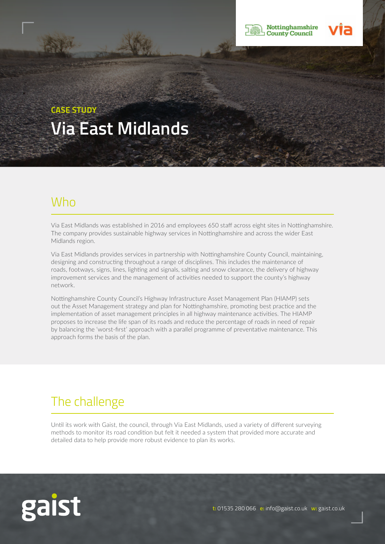

# **CASE STUDY Via East Midlands**

### Who

Via East Midlands was established in 2016 and employees 650 staff across eight sites in Nottinghamshire. The company provides sustainable highway services in Nottinghamshire and across the wider East Midlands region.

Via East Midlands provides services in partnership with Nottinghamshire County Council, maintaining, designing and constructing throughout a range of disciplines. This includes the maintenance of roads, footways, signs, lines, lighting and signals, salting and snow clearance, the delivery of highway improvement services and the management of activities needed to support the county's highway network.

Nottinghamshire County Council's Highway Infrastructure Asset Management Plan (HIAMP) sets out the Asset Management strategy and plan for Nottinghamshire, promoting best practice and the implementation of asset management principles in all highway maintenance activities. The HIAMP proposes to increase the life span of its roads and reduce the percentage of roads in need of repair by balancing the 'worst-first' approach with a parallel programme of preventative maintenance. This approach forms the basis of the plan.

## The challenge

Until its work with Gaist, the council, through Via East Midlands, used a variety of different surveying methods to monitor its road condition but felt it needed a system that provided more accurate and detailed data to help provide more robust evidence to plan its works.

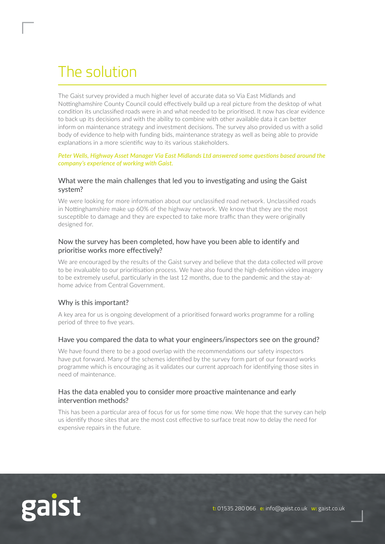# The solution

The Gaist survey provided a much higher level of accurate data so Via East Midlands and Nottinghamshire County Council could effectively build up a real picture from the desktop of what condition its unclassified roads were in and what needed to be prioritised. It now has clear evidence to back up its decisions and with the ability to combine with other available data it can better inform on maintenance strategy and investment decisions. The survey also provided us with a solid body of evidence to help with funding bids, maintenance strategy as well as being able to provide explanations in a more scientific way to its various stakeholders.

#### *Peter Wells, Highway Asset Manager Via East Midlands Ltd answered some questions based around the company's experience of working with Gaist.*

#### What were the main challenges that led you to investigating and using the Gaist system?

We were looking for more information about our unclassified road network. Unclassified roads in Nottinghamshire make up 60% of the highway network. We know that they are the most susceptible to damage and they are expected to take more traffic than they were originally designed for.

#### Now the survey has been completed, how have you been able to identify and prioritise works more effectively?

We are encouraged by the results of the Gaist survey and believe that the data collected will prove to be invaluable to our prioritisation process. We have also found the high-definition video imagery to be extremely useful, particularly in the last 12 months, due to the pandemic and the stay-athome advice from Central Government.

### Why is this important?

A key area for us is ongoing development of a prioritised forward works programme for a rolling period of three to five years.

#### Have you compared the data to what your engineers/inspectors see on the ground?

We have found there to be a good overlap with the recommendations our safety inspectors have put forward. Many of the schemes identified by the survey form part of our forward works programme which is encouraging as it validates our current approach for identifying those sites in need of maintenance.

### Has the data enabled you to consider more proactive maintenance and early intervention methods?

This has been a particular area of focus for us for some time now. We hope that the survey can help us identify those sites that are the most cost effective to surface treat now to delay the need for expensive repairs in the future.